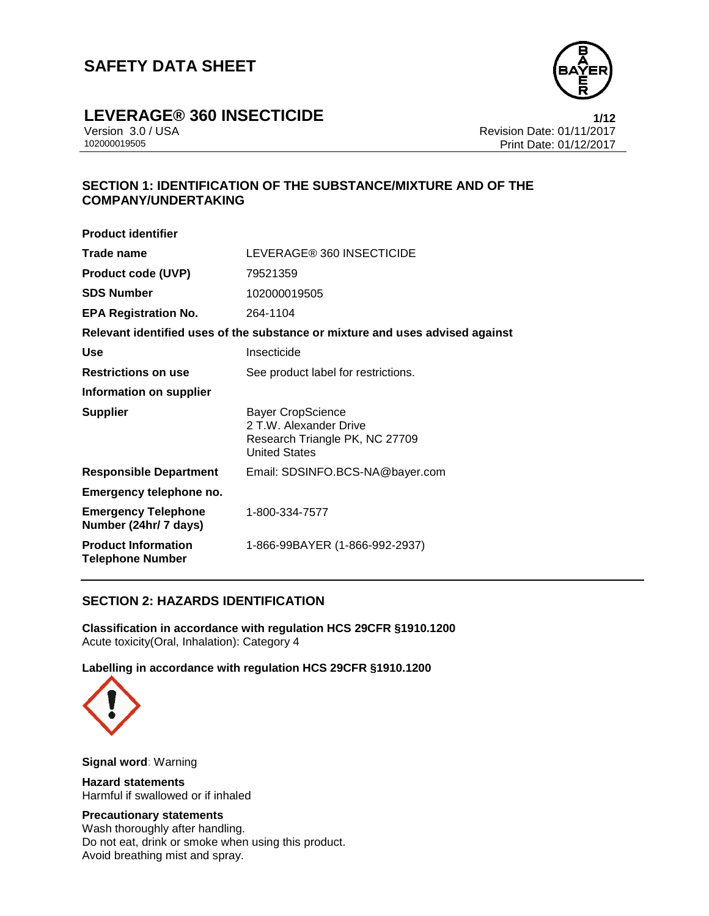

## **LEVERAGE® 360 INSECTICIDE 1/12**

Version 3.0 / USA Revision Date: 01/11/2017<br>102000019505<br>Print Date: 01/12/2017 Print Date: 01/12/2017

### **SECTION 1: IDENTIFICATION OF THE SUBSTANCE/MIXTURE AND OF THE COMPANY/UNDERTAKING**

| <b>Product identifier</b>                             |                                                                                                       |
|-------------------------------------------------------|-------------------------------------------------------------------------------------------------------|
| Trade name                                            | LEVERAGE® 360 INSECTICIDE                                                                             |
| <b>Product code (UVP)</b>                             | 79521359                                                                                              |
| <b>SDS Number</b>                                     | 102000019505                                                                                          |
| <b>EPA Registration No.</b>                           | 264-1104                                                                                              |
|                                                       | Relevant identified uses of the substance or mixture and uses advised against                         |
| Use                                                   | Insecticide                                                                                           |
| <b>Restrictions on use</b>                            | See product label for restrictions.                                                                   |
| Information on supplier                               |                                                                                                       |
| <b>Supplier</b>                                       | Bayer CropScience<br>2 T.W. Alexander Drive<br>Research Triangle PK, NC 27709<br><b>United States</b> |
| <b>Responsible Department</b>                         | Email: SDSINFO.BCS-NA@bayer.com                                                                       |
| Emergency telephone no.                               |                                                                                                       |
| <b>Emergency Telephone</b><br>Number (24hr/ 7 days)   | 1-800-334-7577                                                                                        |
| <b>Product Information</b><br><b>Telephone Number</b> | 1-866-99BAYER (1-866-992-2937)                                                                        |

#### **SECTION 2: HAZARDS IDENTIFICATION**

**Classification in accordance with regulation HCS 29CFR §1910.1200** Acute toxicity(Oral, Inhalation): Category 4

**Labelling in accordance with regulation HCS 29CFR §1910.1200**



**Signal word**: Warning

**Hazard statements** Harmful if swallowed or if inhaled

#### **Precautionary statements**

Wash thoroughly after handling. Do not eat, drink or smoke when using this product. Avoid breathing mist and spray.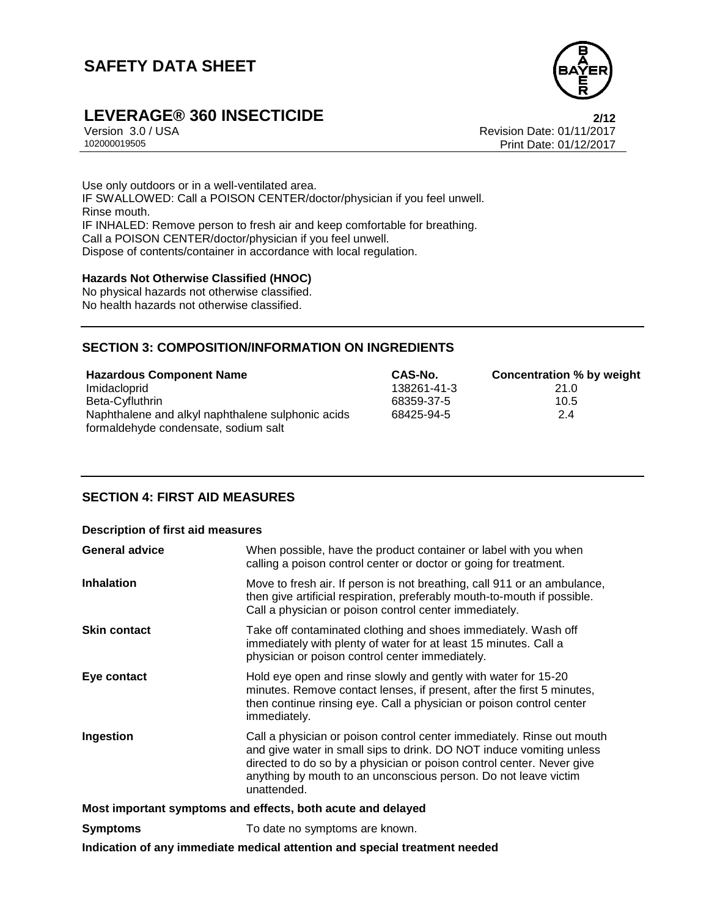

# **LEVERAGE® 360 INSECTICIDE**<br>Version 3.0 / USA **Propose 2/12**<br>Revision Date: 01/11/2017

Version 3.0 / USA Revision Date: 01/11/2017<br>102000019505<br>Print Date: 01/12/2017 Print Date: 01/12/2017

Use only outdoors or in a well-ventilated area. IF SWALLOWED: Call a POISON CENTER/doctor/physician if you feel unwell. Rinse mouth. IF INHALED: Remove person to fresh air and keep comfortable for breathing. Call a POISON CENTER/doctor/physician if you feel unwell. Dispose of contents/container in accordance with local regulation.

#### **Hazards Not Otherwise Classified (HNOC)**

No physical hazards not otherwise classified. No health hazards not otherwise classified.

#### **SECTION 3: COMPOSITION/INFORMATION ON INGREDIENTS**

| <b>Hazardous Component Name</b>                   | CAS-No.     | Concentration % by weight |
|---------------------------------------------------|-------------|---------------------------|
| Imidacloprid                                      | 138261-41-3 | 21.0                      |
| Beta-Cyfluthrin                                   | 68359-37-5  | 10.5                      |
| Naphthalene and alkyl naphthalene sulphonic acids | 68425-94-5  | 2.4                       |
| formaldehyde condensate, sodium salt              |             |                           |

#### **SECTION 4: FIRST AID MEASURES**

#### **Description of first aid measures**

| <b>General advice</b> | When possible, have the product container or label with you when<br>calling a poison control center or doctor or going for treatment.                                                                                                                                                                     |
|-----------------------|-----------------------------------------------------------------------------------------------------------------------------------------------------------------------------------------------------------------------------------------------------------------------------------------------------------|
| <b>Inhalation</b>     | Move to fresh air. If person is not breathing, call 911 or an ambulance,<br>then give artificial respiration, preferably mouth-to-mouth if possible.<br>Call a physician or poison control center immediately.                                                                                            |
| <b>Skin contact</b>   | Take off contaminated clothing and shoes immediately. Wash off<br>immediately with plenty of water for at least 15 minutes. Call a<br>physician or poison control center immediately.                                                                                                                     |
| Eye contact           | Hold eye open and rinse slowly and gently with water for 15-20<br>minutes. Remove contact lenses, if present, after the first 5 minutes,<br>then continue rinsing eye. Call a physician or poison control center<br>immediately.                                                                          |
| Ingestion             | Call a physician or poison control center immediately. Rinse out mouth<br>and give water in small sips to drink. DO NOT induce vomiting unless<br>directed to do so by a physician or poison control center. Never give<br>anything by mouth to an unconscious person. Do not leave victim<br>unattended. |
|                       | Most important symptoms and effects, both acute and delayed                                                                                                                                                                                                                                               |
| <b>Symptoms</b>       | To date no symptoms are known.                                                                                                                                                                                                                                                                            |
|                       | Indication of any immediate medical attention and special treatment needed                                                                                                                                                                                                                                |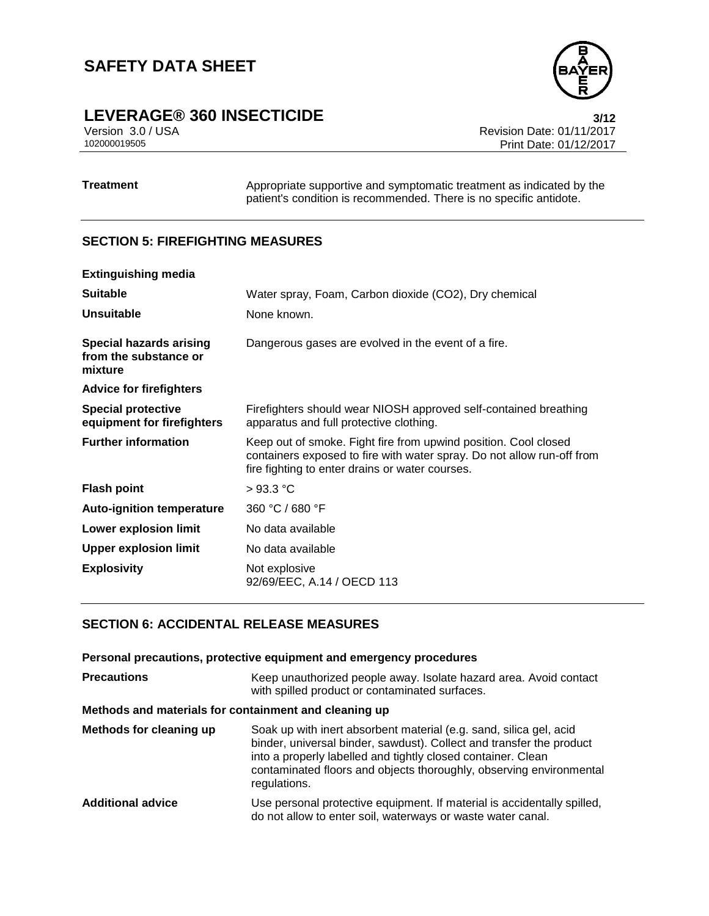# **LEVERAGE® 360 INSECTICIDE**<br>Version 3.0 / USA **3/12**<br>Revision Date: 01/11/2017

Version 3.0 / USA Revision Date: 01/11/2017<br>102000019505<br>Print Date: 01/12/2017 Print Date: 01/12/2017

**Treatment** Appropriate supportive and symptomatic treatment as indicated by the patient's condition is recommended. There is no specific antidote.

#### **SECTION 5: FIREFIGHTING MEASURES**

| <b>Extinguishing media</b>                                         |                                                                                                                                                                                              |
|--------------------------------------------------------------------|----------------------------------------------------------------------------------------------------------------------------------------------------------------------------------------------|
| <b>Suitable</b>                                                    | Water spray, Foam, Carbon dioxide (CO2), Dry chemical                                                                                                                                        |
| <b>Unsuitable</b>                                                  | None known.                                                                                                                                                                                  |
| <b>Special hazards arising</b><br>from the substance or<br>mixture | Dangerous gases are evolved in the event of a fire.                                                                                                                                          |
| <b>Advice for firefighters</b>                                     |                                                                                                                                                                                              |
| <b>Special protective</b><br>equipment for firefighters            | Firefighters should wear NIOSH approved self-contained breathing<br>apparatus and full protective clothing.                                                                                  |
| <b>Further information</b>                                         | Keep out of smoke. Fight fire from upwind position. Cool closed<br>containers exposed to fire with water spray. Do not allow run-off from<br>fire fighting to enter drains or water courses. |
| <b>Flash point</b>                                                 | $>93.3$ °C                                                                                                                                                                                   |
| <b>Auto-ignition temperature</b>                                   | 360 °C / 680 °F                                                                                                                                                                              |
| Lower explosion limit                                              | No data available                                                                                                                                                                            |
| <b>Upper explosion limit</b>                                       | No data available                                                                                                                                                                            |
| <b>Explosivity</b>                                                 | Not explosive<br>92/69/EEC, A.14 / OECD 113                                                                                                                                                  |

### **SECTION 6: ACCIDENTAL RELEASE MEASURES**

|                                                       | Personal precautions, protective equipment and emergency procedures                                                                                                                                                                                                                               |  |
|-------------------------------------------------------|---------------------------------------------------------------------------------------------------------------------------------------------------------------------------------------------------------------------------------------------------------------------------------------------------|--|
| <b>Precautions</b>                                    | Keep unauthorized people away. Isolate hazard area. Avoid contact<br>with spilled product or contaminated surfaces.                                                                                                                                                                               |  |
| Methods and materials for containment and cleaning up |                                                                                                                                                                                                                                                                                                   |  |
| Methods for cleaning up                               | Soak up with inert absorbent material (e.g. sand, silica gel, acid<br>binder, universal binder, sawdust). Collect and transfer the product<br>into a properly labelled and tightly closed container. Clean<br>contaminated floors and objects thoroughly, observing environmental<br>regulations. |  |
| <b>Additional advice</b>                              | Use personal protective equipment. If material is accidentally spilled,<br>do not allow to enter soil, waterways or waste water canal.                                                                                                                                                            |  |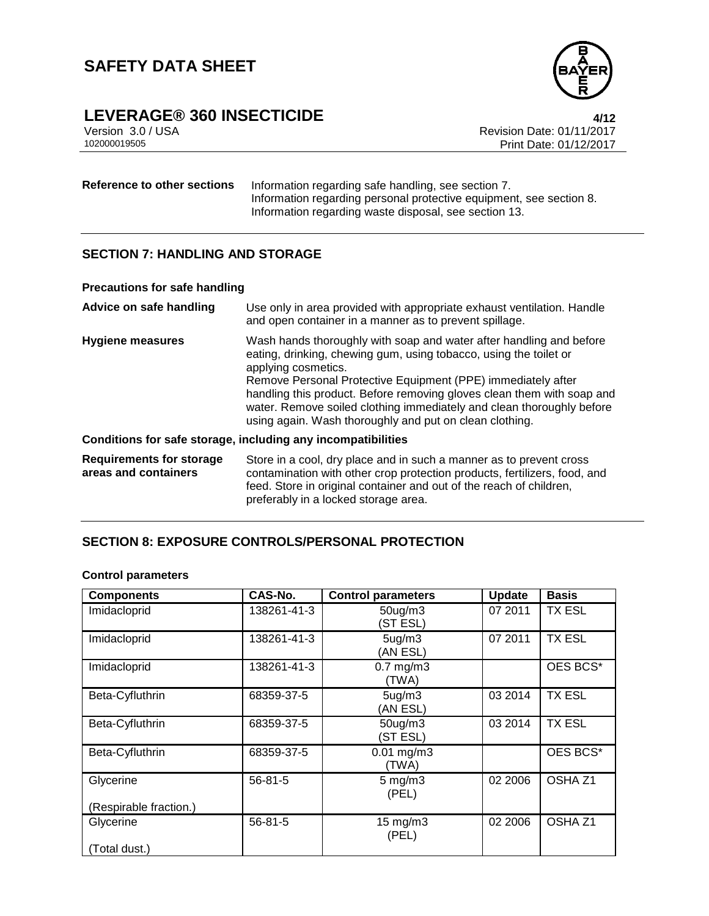

# **LEVERAGE® 360 INSECTICIDE**<br>Version 3.0 / USA **1/12**<br>Revision Date: 01/11/2017

Version 3.0 / USA Revision Date: 01/11/2017 Print Date: 01/12/2017

#### **Reference to other sections** Information regarding safe handling, see section 7. Information regarding personal protective equipment, see section 8. Information regarding waste disposal, see section 13.

#### **SECTION 7: HANDLING AND STORAGE**

#### **Precautions for safe handling**

| Advice on safe handling                                 | Use only in area provided with appropriate exhaust ventilation. Handle<br>and open container in a manner as to prevent spillage.                                                                                                                                                                                                                                                                                                              |
|---------------------------------------------------------|-----------------------------------------------------------------------------------------------------------------------------------------------------------------------------------------------------------------------------------------------------------------------------------------------------------------------------------------------------------------------------------------------------------------------------------------------|
| <b>Hygiene measures</b>                                 | Wash hands thoroughly with soap and water after handling and before<br>eating, drinking, chewing gum, using tobacco, using the toilet or<br>applying cosmetics.<br>Remove Personal Protective Equipment (PPE) immediately after<br>handling this product. Before removing gloves clean them with soap and<br>water. Remove soiled clothing immediately and clean thoroughly before<br>using again. Wash thoroughly and put on clean clothing. |
|                                                         | Conditions for safe storage, including any incompatibilities                                                                                                                                                                                                                                                                                                                                                                                  |
| <b>Requirements for storage</b><br>areas and containers | Store in a cool, dry place and in such a manner as to prevent cross<br>contamination with other crop protection products, fertilizers, food, and<br>feed. Store in original container and out of the reach of children,<br>preferably in a locked storage area.                                                                                                                                                                               |

#### **SECTION 8: EXPOSURE CONTROLS/PERSONAL PROTECTION**

#### **Control parameters**

| <b>Components</b>      | <b>CAS-No.</b> | <b>Control parameters</b>       | <b>Update</b> | <b>Basis</b>       |
|------------------------|----------------|---------------------------------|---------------|--------------------|
| Imidacloprid           | 138261-41-3    | $50$ ug/m $3$<br>(ST ESL)       | 07 2011       | TX ESL             |
| Imidacloprid           | 138261-41-3    | 5 <sub>ug</sub> /m3<br>(AN ESL) | 07 2011       | <b>TX ESL</b>      |
| Imidacloprid           | 138261-41-3    | $0.7$ mg/m $3$<br>(TWA)         |               | OES BCS*           |
| Beta-Cyfluthrin        | 68359-37-5     | 5 <sub>ug</sub> /m3<br>(AN ESL) | 03 2014       | <b>TX ESL</b>      |
| Beta-Cyfluthrin        | 68359-37-5     | $50$ ug/m $3$<br>(ST ESL)       | 03 2014       | <b>TX ESL</b>      |
| Beta-Cyfluthrin        | 68359-37-5     | $0.01$ mg/m3<br>(TWA)           |               | OES BCS*           |
| Glycerine              | $56 - 81 - 5$  | $5 \text{ mg/m}$ 3<br>(PEL)     | 02 2006       | OSHA <sub>Z1</sub> |
| (Respirable fraction.) |                |                                 |               |                    |
| Glycerine              | $56 - 81 - 5$  | $15 \text{ mg/m}$<br>(PEL)      | 02 2006       | OSHA Z1            |
| (Total dust.)          |                |                                 |               |                    |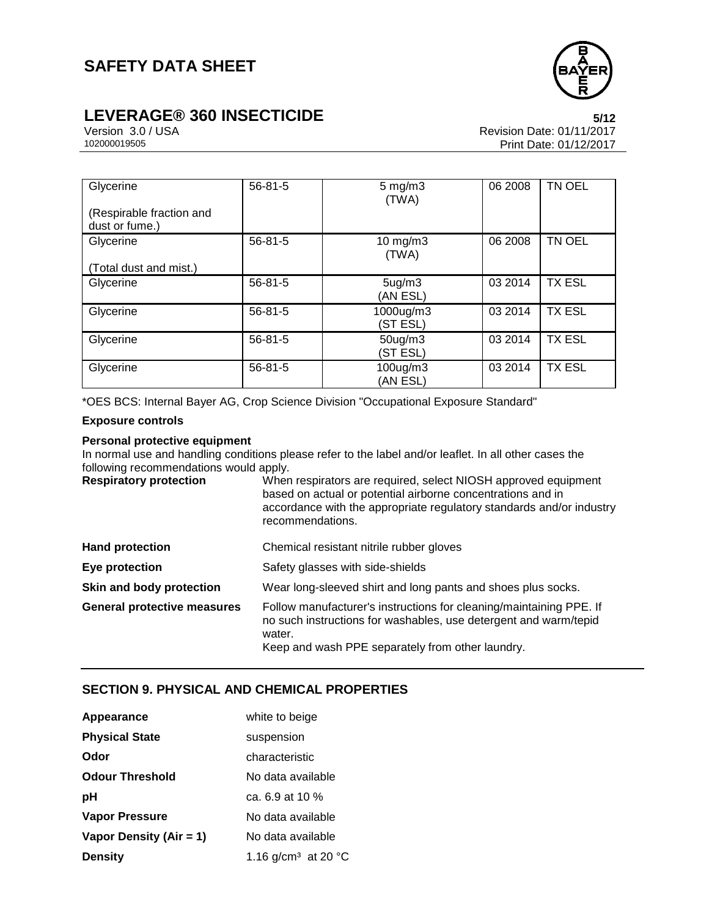

# **LEVERAGE® 360 INSECTICIDE**<br>Version 3.0 / USA **122017**<br>Revision Date: 01/11/2017

Version 3.0 / USA Revision Date: 01/11/2017<br>102000019505<br>Print Date: 01/12/2017 Print Date: 01/12/2017

| Glycerine<br>(Respirable fraction and<br>dust or fume.) | $56 - 81 - 5$ | $5 \text{ mg/m}$<br>(TWA)       | 06 2008 | TN OEL        |
|---------------------------------------------------------|---------------|---------------------------------|---------|---------------|
| Glycerine<br>(Total dust and mist.)                     | $56 - 81 - 5$ | $10$ mg/m $3$<br>(TWA)          | 06 2008 | TN OEL        |
| Glycerine                                               | $56 - 81 - 5$ | 5 <sub>ug</sub> /m3<br>(AN ESL) | 03 2014 | <b>TX ESL</b> |
| Glycerine                                               | $56 - 81 - 5$ | 1000ug/m3<br>(ST ESL)           | 03 2014 | <b>TX ESL</b> |
| Glycerine                                               | $56 - 81 - 5$ | $50$ ug/m $3$<br>(ST ESL)       | 03 2014 | <b>TX ESL</b> |
| Glycerine                                               | $56 - 81 - 5$ | 100ug/m3<br>(AN ESL)            | 03 2014 | <b>TX ESL</b> |

\*OES BCS: Internal Bayer AG, Crop Science Division "Occupational Exposure Standard"

#### **Exposure controls**

#### **Personal protective equipment**

In normal use and handling conditions please refer to the label and/or leaflet. In all other cases the following recommendations would apply.

| <b>Respiratory protection</b> | When respirators are required, select NIOSH approved equipment<br>based on actual or potential airborne concentrations and in<br>accordance with the appropriate regulatory standards and/or industry<br>recommendations. |  |
|-------------------------------|---------------------------------------------------------------------------------------------------------------------------------------------------------------------------------------------------------------------------|--|
| <b>Hand protection</b>        | Chemical resistant nitrile rubber gloves                                                                                                                                                                                  |  |
| Eye protection                | Safety glasses with side-shields                                                                                                                                                                                          |  |
| Skin and body protection      | Wear long-sleeved shirt and long pants and shoes plus socks.                                                                                                                                                              |  |

| General protective measures | Follow manufacturer's instructions for cleaning/maintaining PPE. If |
|-----------------------------|---------------------------------------------------------------------|
|                             | no such instructions for washables, use detergent and warm/tepid    |
|                             | water.                                                              |
|                             | Keep and wash PPE separately from other laundry.                    |

### **SECTION 9. PHYSICAL AND CHEMICAL PROPERTIES**

| Appearance              | white to beige                  |
|-------------------------|---------------------------------|
| <b>Physical State</b>   | suspension                      |
| Odor                    | characteristic                  |
| <b>Odour Threshold</b>  | No data available               |
| рH                      | ca. $6.9$ at 10 %               |
| <b>Vapor Pressure</b>   | No data available               |
| Vapor Density (Air = 1) | No data available               |
| <b>Density</b>          | 1.16 g/cm <sup>3</sup> at 20 °C |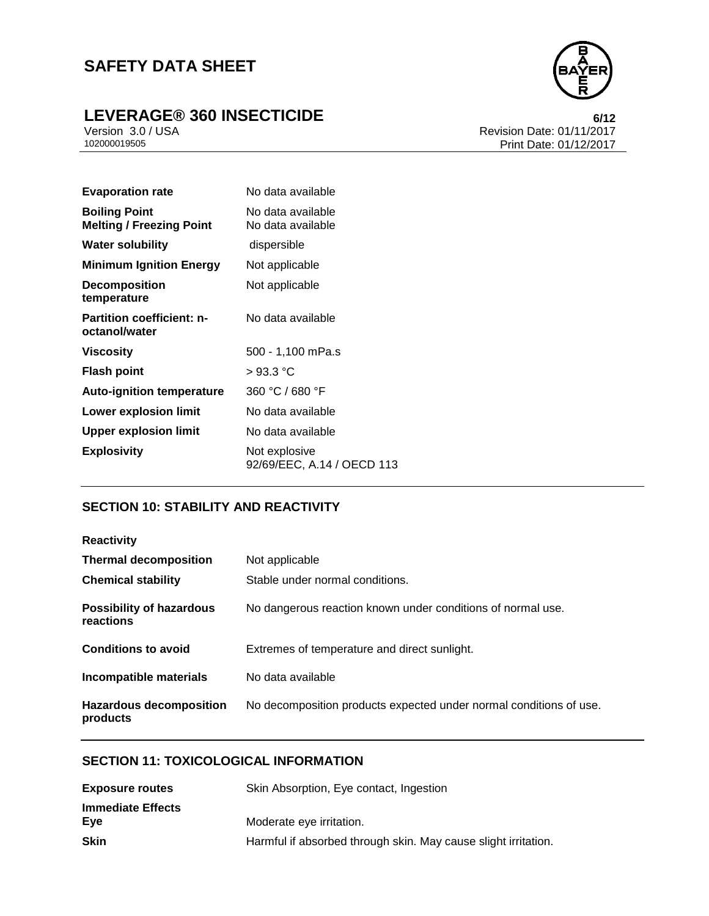# **LEVERAGE® 360 INSECTICIDE**<br>Version 3.0 / USA **6/12**<br>Revision Date: 01/11/2017



Version 3.0 / USA Revision Date: 01/11/2017<br>102000019505<br>Print Date: 01/12/2017 Print Date: 01/12/2017

| <b>Boiling Point</b><br>No data available<br><b>Melting / Freezing Point</b><br>No data available<br><b>Water solubility</b><br>dispersible<br><b>Minimum Ignition Energy</b><br>Not applicable |  |
|-------------------------------------------------------------------------------------------------------------------------------------------------------------------------------------------------|--|
|                                                                                                                                                                                                 |  |
|                                                                                                                                                                                                 |  |
|                                                                                                                                                                                                 |  |
| <b>Decomposition</b><br>Not applicable<br>temperature                                                                                                                                           |  |
| <b>Partition coefficient: n-</b><br>No data available<br>octanol/water                                                                                                                          |  |
| Viscosity<br>500 - 1,100 mPa.s                                                                                                                                                                  |  |
| >93.3 °C<br><b>Flash point</b>                                                                                                                                                                  |  |
| 360 °C / 680 °F<br><b>Auto-ignition temperature</b>                                                                                                                                             |  |
| No data available<br>Lower explosion limit                                                                                                                                                      |  |
| <b>Upper explosion limit</b><br>No data available                                                                                                                                               |  |
| <b>Explosivity</b><br>Not explosive                                                                                                                                                             |  |

#### **SECTION 10: STABILITY AND REACTIVITY**

| <b>Reactivity</b>                            |                                                                    |
|----------------------------------------------|--------------------------------------------------------------------|
| <b>Thermal decomposition</b>                 | Not applicable                                                     |
| <b>Chemical stability</b>                    | Stable under normal conditions.                                    |
| <b>Possibility of hazardous</b><br>reactions | No dangerous reaction known under conditions of normal use.        |
| <b>Conditions to avoid</b>                   | Extremes of temperature and direct sunlight.                       |
| Incompatible materials                       | No data available                                                  |
| <b>Hazardous decomposition</b><br>products   | No decomposition products expected under normal conditions of use. |

#### **SECTION 11: TOXICOLOGICAL INFORMATION**

| Skin Absorption, Eye contact, Ingestion                        |  |  |
|----------------------------------------------------------------|--|--|
|                                                                |  |  |
|                                                                |  |  |
| Harmful if absorbed through skin. May cause slight irritation. |  |  |
|                                                                |  |  |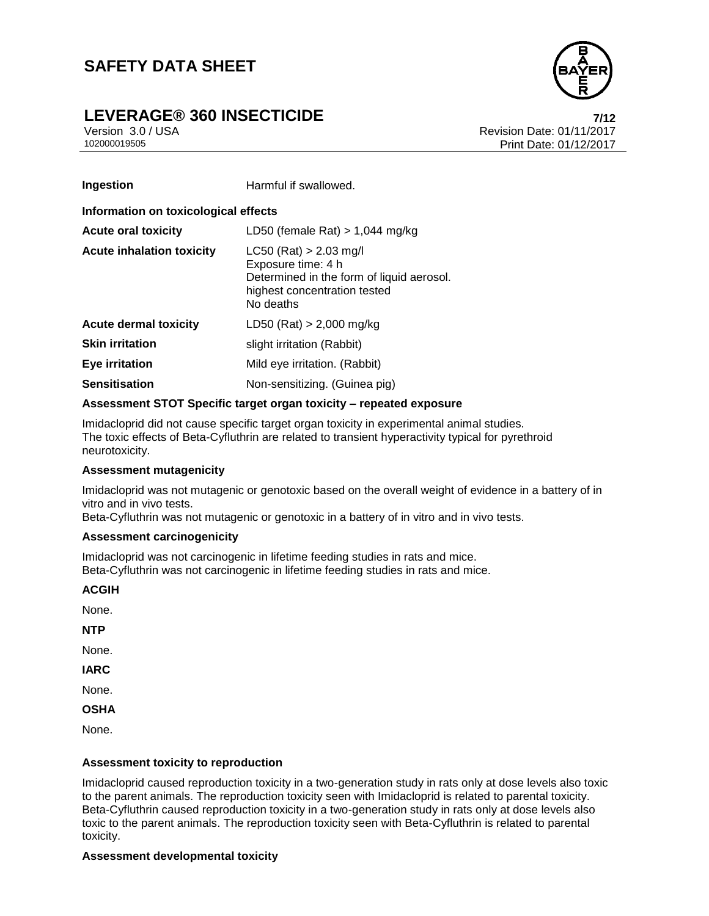### **LEVERAGE® 360 INSECTICIDE 7/12**



Version 3.0 / USA Revision Date: 01/11/2017<br>102000019505<br>Print Date: 01/12/2017 Print Date: 01/12/2017

| Ingestion                            | Harmful if swallowed.                                                                                                                    |  |
|--------------------------------------|------------------------------------------------------------------------------------------------------------------------------------------|--|
| Information on toxicological effects |                                                                                                                                          |  |
| <b>Acute oral toxicity</b>           | LD50 (female Rat) $> 1,044$ mg/kg                                                                                                        |  |
| <b>Acute inhalation toxicity</b>     | $LC50$ (Rat) > 2.03 mg/l<br>Exposure time: 4 h<br>Determined in the form of liquid aerosol.<br>highest concentration tested<br>No deaths |  |
| Acute dermal toxicity                | $LD50$ (Rat) > 2,000 mg/kg                                                                                                               |  |
| <b>Skin irritation</b>               | slight irritation (Rabbit)                                                                                                               |  |
| <b>Eye irritation</b>                | Mild eye irritation. (Rabbit)                                                                                                            |  |
| <b>Sensitisation</b>                 | Non-sensitizing. (Guinea pig)                                                                                                            |  |

#### **Assessment STOT Specific target organ toxicity – repeated exposure**

Imidacloprid did not cause specific target organ toxicity in experimental animal studies. The toxic effects of Beta-Cyfluthrin are related to transient hyperactivity typical for pyrethroid neurotoxicity.

#### **Assessment mutagenicity**

Imidacloprid was not mutagenic or genotoxic based on the overall weight of evidence in a battery of in vitro and in vivo tests.

Beta-Cyfluthrin was not mutagenic or genotoxic in a battery of in vitro and in vivo tests.

#### **Assessment carcinogenicity**

Imidacloprid was not carcinogenic in lifetime feeding studies in rats and mice. Beta-Cyfluthrin was not carcinogenic in lifetime feeding studies in rats and mice.

**ACGIH**

None.

**NTP**

None.

**IARC**

None.

**OSHA**

None.

#### **Assessment toxicity to reproduction**

Imidacloprid caused reproduction toxicity in a two-generation study in rats only at dose levels also toxic to the parent animals. The reproduction toxicity seen with Imidacloprid is related to parental toxicity. Beta-Cyfluthrin caused reproduction toxicity in a two-generation study in rats only at dose levels also toxic to the parent animals. The reproduction toxicity seen with Beta-Cyfluthrin is related to parental toxicity.

#### **Assessment developmental toxicity**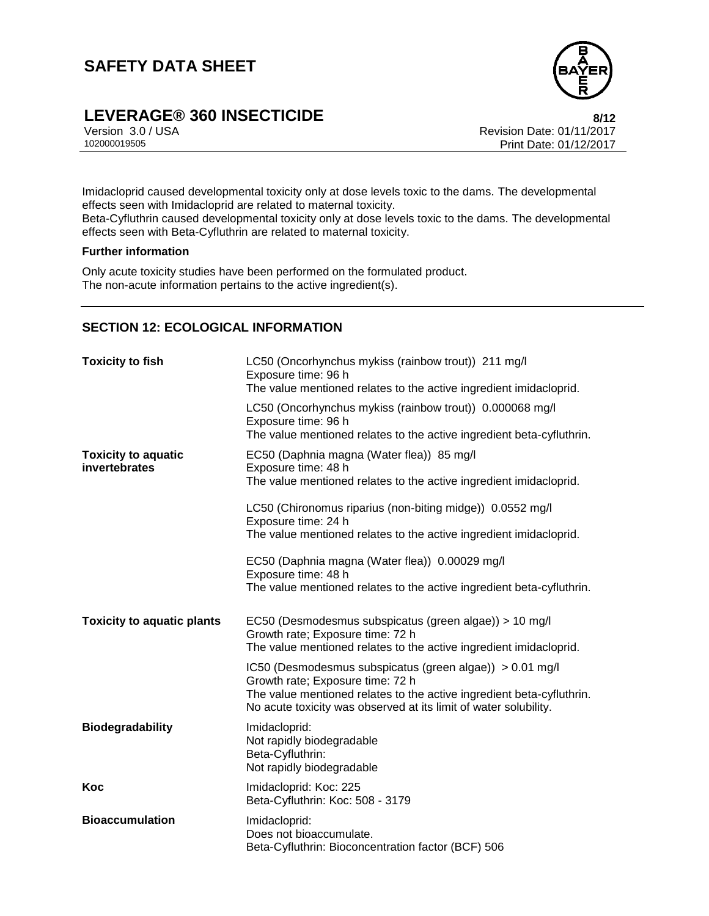

# **LEVERAGE® 360 INSECTICIDE**<br>Version 3.0 / USA **8/12**<br>Revision Date: 01/11/2017

Version 3.0 / USA Revision Date: 01/11/2017<br>102000019505<br>Print Date: 01/12/2017 Print Date: 01/12/2017

Imidacloprid caused developmental toxicity only at dose levels toxic to the dams. The developmental effects seen with Imidacloprid are related to maternal toxicity.

Beta-Cyfluthrin caused developmental toxicity only at dose levels toxic to the dams. The developmental effects seen with Beta-Cyfluthrin are related to maternal toxicity.

#### **Further information**

Only acute toxicity studies have been performed on the formulated product. The non-acute information pertains to the active ingredient(s).

#### **SECTION 12: ECOLOGICAL INFORMATION**

| <b>Toxicity to fish</b>                     | LC50 (Oncorhynchus mykiss (rainbow trout)) 211 mg/l<br>Exposure time: 96 h<br>The value mentioned relates to the active ingredient imidacloprid.                                                                                          |
|---------------------------------------------|-------------------------------------------------------------------------------------------------------------------------------------------------------------------------------------------------------------------------------------------|
|                                             | LC50 (Oncorhynchus mykiss (rainbow trout)) 0.000068 mg/l<br>Exposure time: 96 h<br>The value mentioned relates to the active ingredient beta-cyfluthrin.                                                                                  |
| <b>Toxicity to aquatic</b><br>invertebrates | EC50 (Daphnia magna (Water flea)) 85 mg/l<br>Exposure time: 48 h<br>The value mentioned relates to the active ingredient imidacloprid.                                                                                                    |
|                                             | LC50 (Chironomus riparius (non-biting midge)) 0.0552 mg/l<br>Exposure time: 24 h<br>The value mentioned relates to the active ingredient imidacloprid.                                                                                    |
|                                             | EC50 (Daphnia magna (Water flea)) 0.00029 mg/l<br>Exposure time: 48 h<br>The value mentioned relates to the active ingredient beta-cyfluthrin.                                                                                            |
| <b>Toxicity to aquatic plants</b>           | EC50 (Desmodesmus subspicatus (green algae)) > 10 mg/l<br>Growth rate; Exposure time: 72 h<br>The value mentioned relates to the active ingredient imidacloprid.                                                                          |
|                                             | IC50 (Desmodesmus subspicatus (green algae)) > 0.01 mg/l<br>Growth rate; Exposure time: 72 h<br>The value mentioned relates to the active ingredient beta-cyfluthrin.<br>No acute toxicity was observed at its limit of water solubility. |
| <b>Biodegradability</b>                     | Imidacloprid:<br>Not rapidly biodegradable<br>Beta-Cyfluthrin:<br>Not rapidly biodegradable                                                                                                                                               |
| Koc                                         | Imidacloprid: Koc: 225<br>Beta-Cyfluthrin: Koc: 508 - 3179                                                                                                                                                                                |
| <b>Bioaccumulation</b>                      | Imidacloprid:<br>Does not bioaccumulate.<br>Beta-Cyfluthrin: Bioconcentration factor (BCF) 506                                                                                                                                            |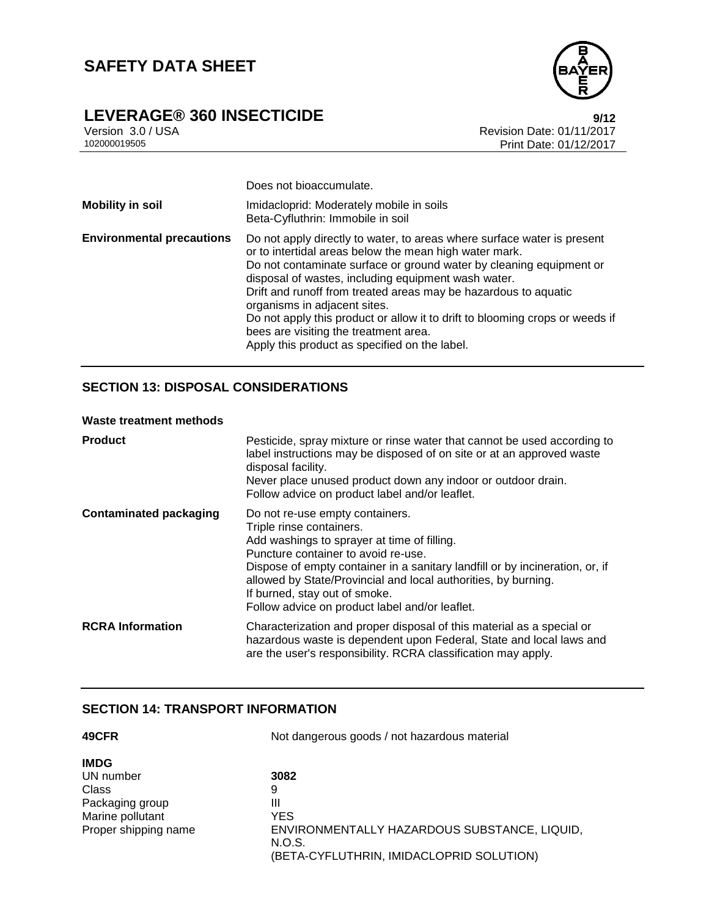

# **LEVERAGE® 360 INSECTICIDE**<br>
Version 3.0/USA<br>
Revision Date: 01/11/2017

Version 3.0 / USA Revision Date: 01/11/2017<br>102000019505<br>Print Date: 01/12/2017 Print Date: 01/12/2017

|                                  | Does not bioaccumulate.                                                                                                                                                                                                                                                                                                                                                                                                                                                                                                                      |
|----------------------------------|----------------------------------------------------------------------------------------------------------------------------------------------------------------------------------------------------------------------------------------------------------------------------------------------------------------------------------------------------------------------------------------------------------------------------------------------------------------------------------------------------------------------------------------------|
| <b>Mobility in soil</b>          | Imidacloprid: Moderately mobile in soils<br>Beta-Cyfluthrin: Immobile in soil                                                                                                                                                                                                                                                                                                                                                                                                                                                                |
| <b>Environmental precautions</b> | Do not apply directly to water, to areas where surface water is present<br>or to intertidal areas below the mean high water mark.<br>Do not contaminate surface or ground water by cleaning equipment or<br>disposal of wastes, including equipment wash water.<br>Drift and runoff from treated areas may be hazardous to aquatic<br>organisms in adjacent sites.<br>Do not apply this product or allow it to drift to blooming crops or weeds if<br>bees are visiting the treatment area.<br>Apply this product as specified on the label. |

#### **SECTION 13: DISPOSAL CONSIDERATIONS**

#### **Waste treatment methods**

| <b>Product</b>                | Pesticide, spray mixture or rinse water that cannot be used according to<br>label instructions may be disposed of on site or at an approved waste<br>disposal facility.<br>Never place unused product down any indoor or outdoor drain.<br>Follow advice on product label and/or leaflet.                                                                                              |
|-------------------------------|----------------------------------------------------------------------------------------------------------------------------------------------------------------------------------------------------------------------------------------------------------------------------------------------------------------------------------------------------------------------------------------|
| <b>Contaminated packaging</b> | Do not re-use empty containers.<br>Triple rinse containers.<br>Add washings to sprayer at time of filling.<br>Puncture container to avoid re-use.<br>Dispose of empty container in a sanitary landfill or by incineration, or, if<br>allowed by State/Provincial and local authorities, by burning.<br>If burned, stay out of smoke.<br>Follow advice on product label and/or leaflet. |
| <b>RCRA</b> Information       | Characterization and proper disposal of this material as a special or<br>hazardous waste is dependent upon Federal, State and local laws and<br>are the user's responsibility. RCRA classification may apply.                                                                                                                                                                          |

#### **SECTION 14: TRANSPORT INFORMATION**

| 49CFR                | Not dangerous goods / not hazardous material |  |
|----------------------|----------------------------------------------|--|
| <b>IMDG</b>          |                                              |  |
| UN number            | 3082                                         |  |
| Class                | 9                                            |  |
| Packaging group      | Ш                                            |  |
| Marine pollutant     | YES.                                         |  |
| Proper shipping name | ENVIRONMENTALLY HAZARDOUS SUBSTANCE, LIQUID, |  |
|                      | N.O.S.                                       |  |
|                      | (BETA-CYFLUTHRIN, IMIDACLOPRID SOLUTION)     |  |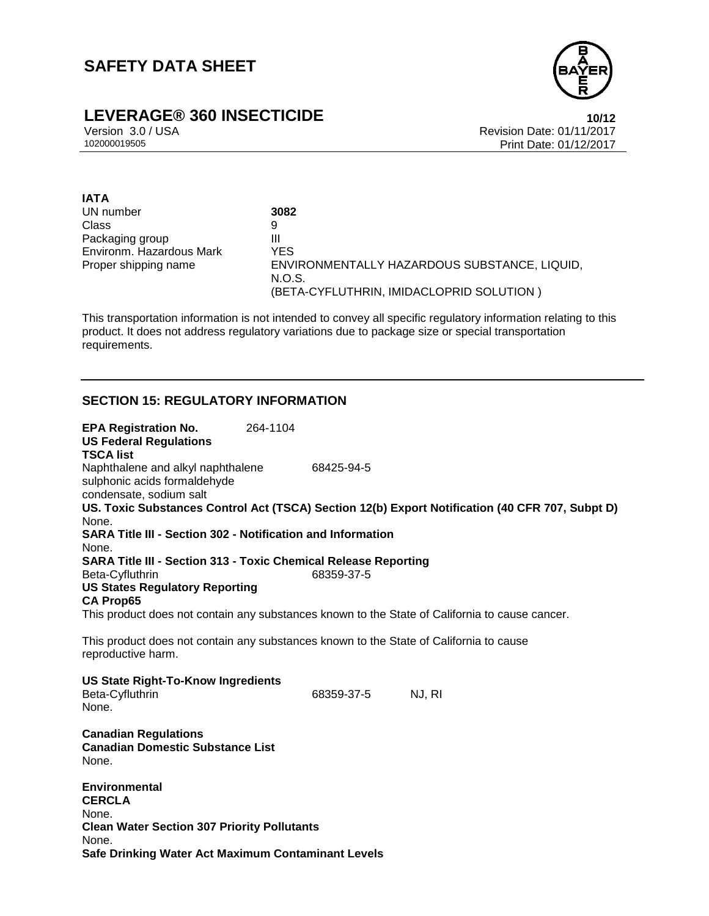

# **LEVERAGE® 360 INSECTICIDE**<br>Version 3.0 / USA **10/12**<br>Revision Date: 01/11/2017

Version 3.0 / USA Revision Date: 01/11/2017<br>102000019505<br>Print Date: 01/12/2017 Print Date: 01/12/2017

| <b>IATA</b>              |                                              |
|--------------------------|----------------------------------------------|
| UN number                | 3082                                         |
| Class                    | 9                                            |
| Packaging group          | Ш                                            |
| Environm. Hazardous Mark | YES                                          |
| Proper shipping name     | ENVIRONMENTALLY HAZARDOUS SUBSTANCE, LIQUID, |
|                          | N.O.S.                                       |
|                          | (BETA-CYFLUTHRIN, IMIDACLOPRID SOLUTION)     |

This transportation information is not intended to convey all specific regulatory information relating to this product. It does not address regulatory variations due to package size or special transportation requirements.

#### **SECTION 15: REGULATORY INFORMATION**

| <b>EPA Registration No.</b><br><b>US Federal Regulations</b><br><b>TSCA list</b>                                                                                    | 264-1104 |            |                                                                                                 |
|---------------------------------------------------------------------------------------------------------------------------------------------------------------------|----------|------------|-------------------------------------------------------------------------------------------------|
| Naphthalene and alkyl naphthalene<br>sulphonic acids formaldehyde<br>condensate, sodium salt                                                                        |          | 68425-94-5 |                                                                                                 |
| None.                                                                                                                                                               |          |            | US. Toxic Substances Control Act (TSCA) Section 12(b) Export Notification (40 CFR 707, Subpt D) |
| <b>SARA Title III - Section 302 - Notification and Information</b><br>None.                                                                                         |          |            |                                                                                                 |
| <b>SARA Title III - Section 313 - Toxic Chemical Release Reporting</b><br>Beta-Cyfluthrin<br><b>US States Regulatory Reporting</b>                                  |          | 68359-37-5 |                                                                                                 |
| <b>CA Prop65</b>                                                                                                                                                    |          |            | This product does not contain any substances known to the State of California to cause cancer.  |
| This product does not contain any substances known to the State of California to cause<br>reproductive harm.                                                        |          |            |                                                                                                 |
| <b>US State Right-To-Know Ingredients</b><br>Beta-Cyfluthrin<br>None.                                                                                               |          | 68359-37-5 | NJ, RI                                                                                          |
| <b>Canadian Regulations</b><br><b>Canadian Domestic Substance List</b><br>None.                                                                                     |          |            |                                                                                                 |
| <b>Environmental</b><br><b>CERCLA</b><br>None.<br><b>Clean Water Section 307 Priority Pollutants</b><br>None.<br>Safe Drinking Water Act Maximum Contaminant Levels |          |            |                                                                                                 |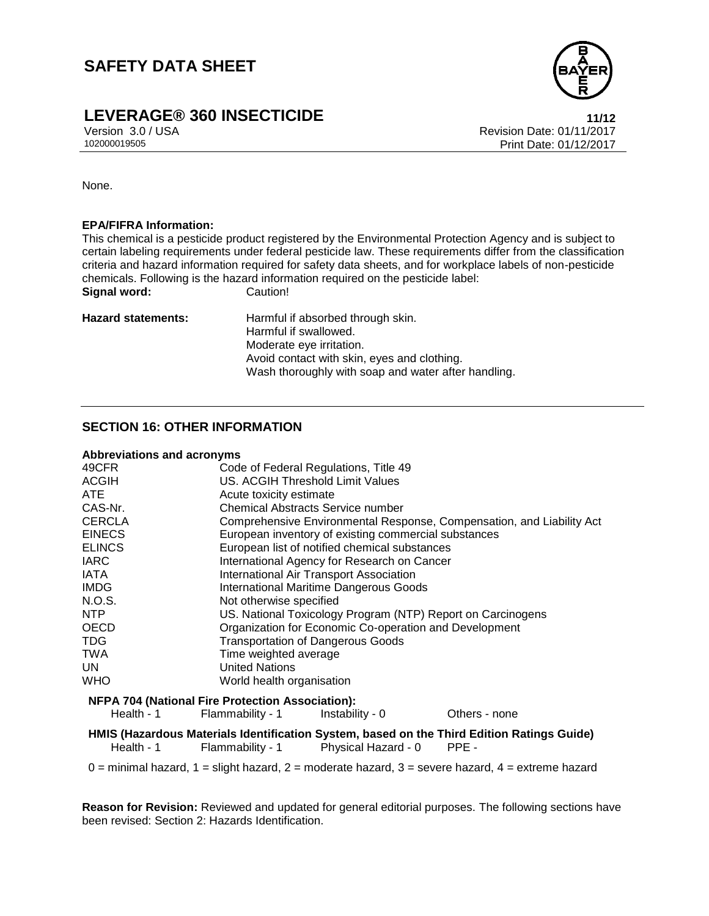

### **LEVERAGE® 360 INSECTICIDE 11/12**

Version 3.0 / USA Revision Date: 01/11/2017<br>102000019505<br>Print Date: 01/12/2017 Print Date: 01/12/2017

None.

#### **EPA/FIFRA Information:**

This chemical is a pesticide product registered by the Environmental Protection Agency and is subject to certain labeling requirements under federal pesticide law. These requirements differ from the classification criteria and hazard information required for safety data sheets, and for workplace labels of non-pesticide chemicals. Following is the hazard information required on the pesticide label: **Signal word:** Caution!

Hazard statements: Harmful if absorbed through skin. Harmful if swallowed. Moderate eye irritation. Avoid contact with skin, eyes and clothing. Wash thoroughly with soap and water after handling.

#### **SECTION 16: OTHER INFORMATION**

#### **Abbreviations and acronyms**

| 49CFR         | Code of Federal Regulations, Title 49                                 |
|---------------|-----------------------------------------------------------------------|
| <b>ACGIH</b>  | US. ACGIH Threshold Limit Values                                      |
| ATE           | Acute toxicity estimate                                               |
| CAS-Nr.       | Chemical Abstracts Service number                                     |
| <b>CERCLA</b> | Comprehensive Environmental Response, Compensation, and Liability Act |
| <b>EINECS</b> | European inventory of existing commercial substances                  |
| <b>ELINCS</b> | European list of notified chemical substances                         |
| <b>IARC</b>   | International Agency for Research on Cancer                           |
| <b>IATA</b>   | International Air Transport Association                               |
| <b>IMDG</b>   | <b>International Maritime Dangerous Goods</b>                         |
| N.O.S.        | Not otherwise specified                                               |
| NTP           | US. National Toxicology Program (NTP) Report on Carcinogens           |
| OECD          | Organization for Economic Co-operation and Development                |
| <b>TDG</b>    | <b>Transportation of Dangerous Goods</b>                              |
| <b>TWA</b>    | Time weighted average                                                 |
| UN.           | <b>United Nations</b>                                                 |
| WHO           | World health organisation                                             |
|               | <b>NFPA 704 (National Fire Protection Association):</b>               |
| Health - 1    | Flammability - 1<br>Others - none<br>Instability - 0                  |

**HMIS (Hazardous Materials Identification System, based on the Third Edition Ratings Guide)** Flammability - 1 Physical Hazard - 0 PPE -

 $0 =$  minimal hazard,  $1 =$  slight hazard,  $2 =$  moderate hazard,  $3 =$  severe hazard,  $4 =$  extreme hazard

**Reason for Revision:** Reviewed and updated for general editorial purposes. The following sections have been revised: Section 2: Hazards Identification.